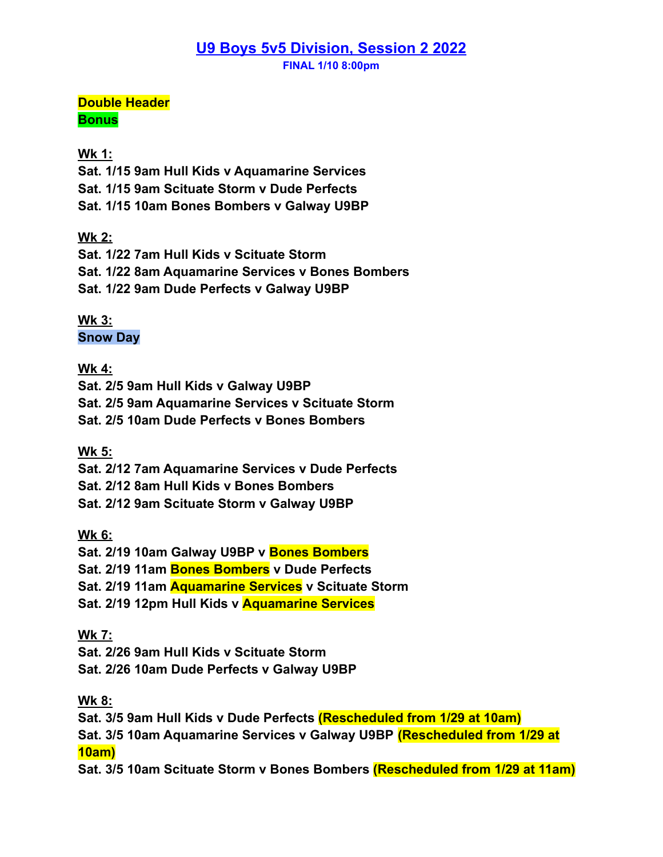## **U9 Boys 5v5 Division, Session 2 2022**

**FINAL 1/10 8:00pm**

**Double Header Bonus**

#### **Wk 1:**

**Sat. 1/15 9am Hull Kids v Aquamarine Services**

**Sat. 1/15 9am Scituate Storm v Dude Perfects**

**Sat. 1/15 10am Bones Bombers v Galway U9BP**

### **Wk 2:**

**Sat. 1/22 7am Hull Kids v Scituate Storm Sat. 1/22 8am Aquamarine Services v Bones Bombers Sat. 1/22 9am Dude Perfects v Galway U9BP**

**Wk 3: Snow Day**

#### **Wk 4:**

**Sat. 2/5 9am Hull Kids v Galway U9BP Sat. 2/5 9am Aquamarine Services v Scituate Storm Sat. 2/5 10am Dude Perfects v Bones Bombers**

#### **Wk 5:**

**Sat. 2/12 7am Aquamarine Services v Dude Perfects Sat. 2/12 8am Hull Kids v Bones Bombers Sat. 2/12 9am Scituate Storm v Galway U9BP**

#### **Wk 6:**

**Sat. 2/19 10am Galway U9BP v Bones Bombers Sat. 2/19 11am Bones Bombers v Dude Perfects Sat. 2/19 11am Aquamarine Services v Scituate Storm Sat. 2/19 12pm Hull Kids v Aquamarine Services**

#### **Wk 7:**

**Sat. 2/26 9am Hull Kids v Scituate Storm Sat. 2/26 10am Dude Perfects v Galway U9BP**

#### **Wk 8:**

**Sat. 3/5 9am Hull Kids v Dude Perfects (Rescheduled from 1/29 at 10am) Sat. 3/5 10am Aquamarine Services v Galway U9BP (Rescheduled from 1/29 at 10am)**

**Sat. 3/5 10am Scituate Storm v Bones Bombers (Rescheduled from 1/29 at 11am)**